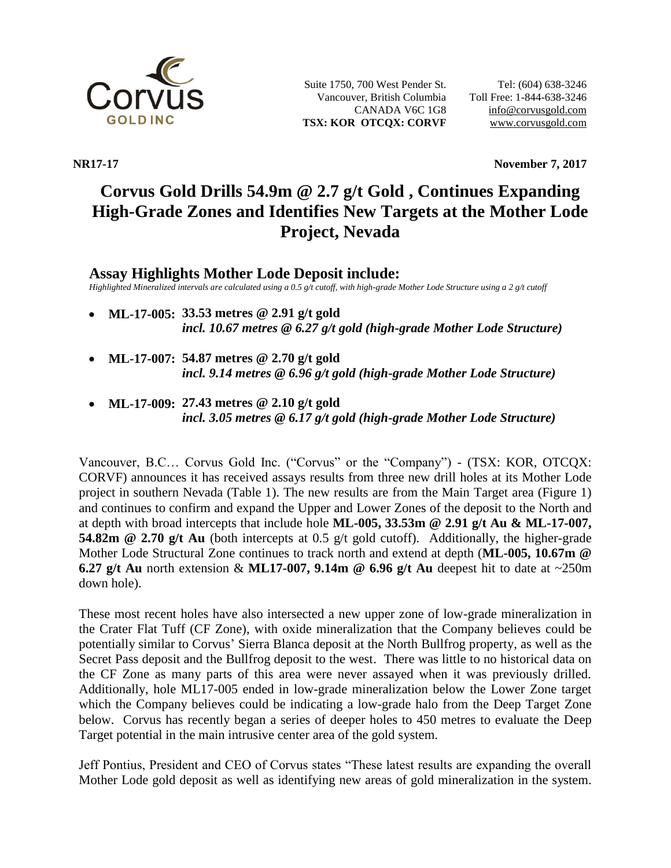

Suite 1750, 700 West Pender St. Vancouver, British Columbia CANADA V6C 1G8 **TSX: KOR OTCQX: CORVF**

**NR17-17 November 7, 2017**

# **Corvus Gold Drills 54.9m @ 2.7 g/t Gold , Continues Expanding High-Grade Zones and Identifies New Targets at the Mother Lode Project, Nevada**

## **Assay Highlights Mother Lode Deposit include:**

*Highlighted Mineralized intervals are calculated using a 0.5 g/t cutoff, with high-grade Mother Lode Structure using a 2 g/t cutoff*

- **ML-17-005: 33.53 metres @ 2.91 g/t gold**  *incl. 10.67 metres @ 6.27 g/t gold (high-grade Mother Lode Structure)*
- **ML-17-007: 54.87 metres @ 2.70 g/t gold** *incl. 9.14 metres @ 6.96 g/t gold (high-grade Mother Lode Structure)*
- **ML-17-009: 27.43 metres @ 2.10 g/t gold**  *incl. 3.05 metres @ 6.17 g/t gold (high-grade Mother Lode Structure)*

Vancouver, B.C… Corvus Gold Inc. ("Corvus" or the "Company") - (TSX: KOR, OTCQX: CORVF) announces it has received assays results from three new drill holes at its Mother Lode project in southern Nevada (Table 1). The new results are from the Main Target area (Figure 1) and continues to confirm and expand the Upper and Lower Zones of the deposit to the North and at depth with broad intercepts that include hole **ML-005, 33.53m @ 2.91 g/t Au & ML-17-007, 54.82m @ 2.70 g/t Au** (both intercepts at 0.5 g/t gold cutoff). Additionally, the higher-grade Mother Lode Structural Zone continues to track north and extend at depth (**ML-005, 10.67m @ 6.27 g/t Au** north extension & **ML17-007, 9.14m @ 6.96 g/t Au** deepest hit to date at ~250m down hole).

These most recent holes have also intersected a new upper zone of low-grade mineralization in the Crater Flat Tuff (CF Zone), with oxide mineralization that the Company believes could be potentially similar to Corvus' Sierra Blanca deposit at the North Bullfrog property, as well as the Secret Pass deposit and the Bullfrog deposit to the west. There was little to no historical data on the CF Zone as many parts of this area were never assayed when it was previously drilled. Additionally, hole ML17-005 ended in low-grade mineralization below the Lower Zone target which the Company believes could be indicating a low-grade halo from the Deep Target Zone below. Corvus has recently began a series of deeper holes to 450 metres to evaluate the Deep Target potential in the main intrusive center area of the gold system.

Jeff Pontius, President and CEO of Corvus states "These latest results are expanding the overall Mother Lode gold deposit as well as identifying new areas of gold mineralization in the system.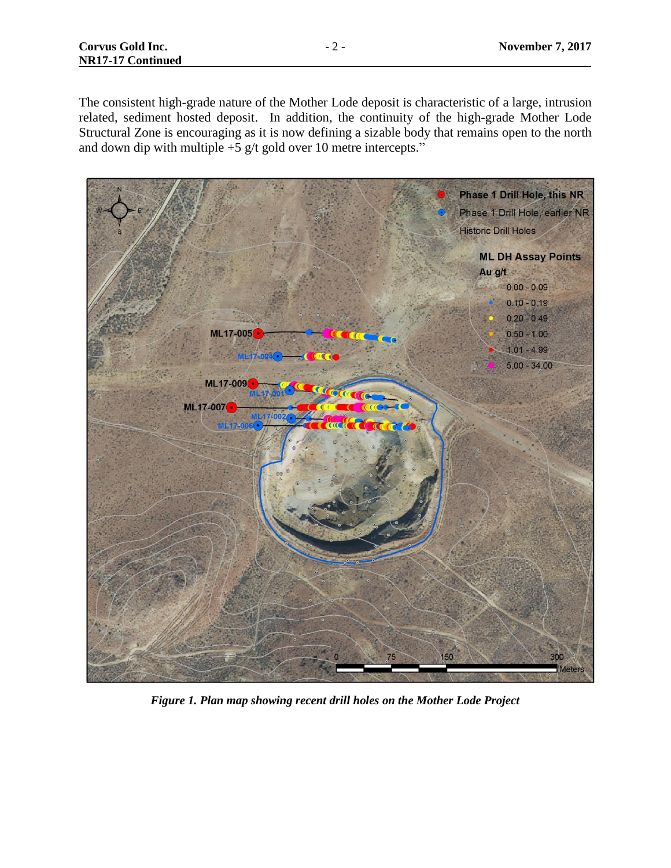The consistent high-grade nature of the Mother Lode deposit is characteristic of a large, intrusion related, sediment hosted deposit. In addition, the continuity of the high-grade Mother Lode Structural Zone is encouraging as it is now defining a sizable body that remains open to the north and down dip with multiple  $+5$  g/t gold over 10 metre intercepts."



*Figure 1. Plan map showing recent drill holes on the Mother Lode Project*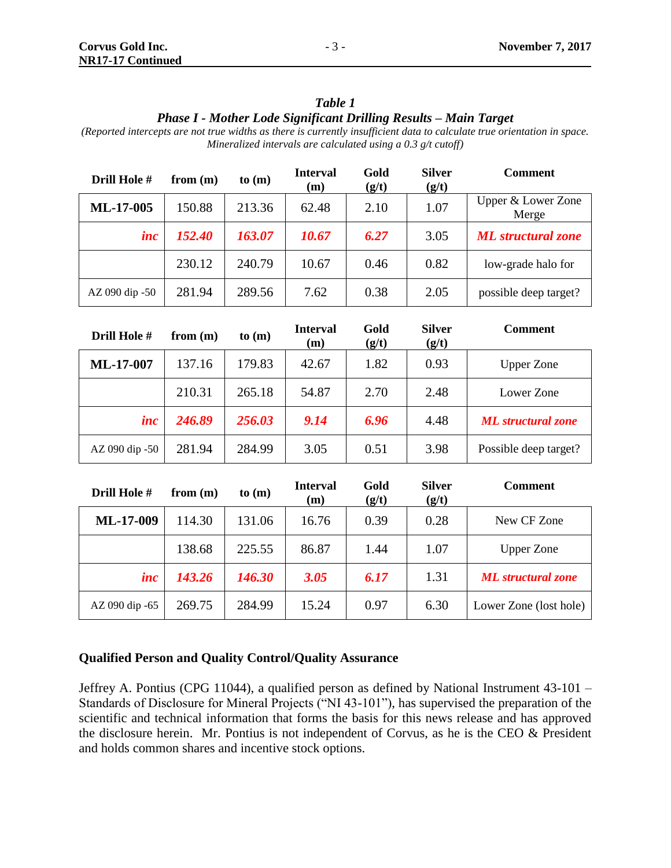### *Table 1 Phase I - Mother Lode Significant Drilling Results – Main Target*

*(Reported intercepts are not true widths as there is currently insufficient data to calculate true orientation in space. Mineralized intervals are calculated using a 0.3 g/t cutoff)*

| Drill Hole #   | from $(m)$ | to (m) | <b>Interval</b><br>(m) | Gold<br>(g/t) | <b>Silver</b><br>(g/t) | <b>Comment</b>              |
|----------------|------------|--------|------------------------|---------------|------------------------|-----------------------------|
| ML-17-005      | 150.88     | 213.36 | 62.48                  | 2.10          | 1.07                   | Upper & Lower Zone<br>Merge |
| inc            | 152.40     | 163.07 | 10.67                  | 6.27          | 3.05                   | <b>ML</b> structural zone   |
|                | 230.12     | 240.79 | 10.67                  | 0.46          | 0.82                   | low-grade halo for          |
| AZ 090 dip -50 | 281.94     | 289.56 | 7.62                   | 0.38          | 2.05                   | possible deep target?       |

| Drill Hole #   | from $(m)$ | to (m) | <b>Interval</b><br>(m) | Gold<br>(g/t) | <b>Silver</b><br>(g/t) | <b>Comment</b>            |
|----------------|------------|--------|------------------------|---------------|------------------------|---------------------------|
| ML-17-007      | 137.16     | 179.83 | 42.67                  | 1.82          | 0.93                   | <b>Upper Zone</b>         |
|                | 210.31     | 265.18 | 54.87                  | 2.70          | 2.48                   | Lower Zone                |
| inc            | 246.89     | 256.03 | 9.14                   | 6.96          | 4.48                   | <b>ML</b> structural zone |
| AZ 090 dip -50 | 281.94     | 284.99 | 3.05                   | 0.51          | 3.98                   | Possible deep target?     |

| Drill Hole #   | from $(m)$ | to (m) | <b>Interval</b><br>(m) | Gold<br>(g/t) | <b>Silver</b><br>(g/t) | <b>Comment</b>            |
|----------------|------------|--------|------------------------|---------------|------------------------|---------------------------|
| ML-17-009      | 114.30     | 131.06 | 16.76                  | 0.39          | 0.28                   | New CF Zone               |
|                | 138.68     | 225.55 | 86.87                  | 1.44          | 1.07                   | <b>Upper Zone</b>         |
| inc            | 143.26     | 146.30 | 3.05                   | 6.17          | 1.31                   | <b>ML</b> structural zone |
| AZ 090 dip -65 | 269.75     | 284.99 | 15.24                  | 0.97          | 6.30                   | Lower Zone (lost hole)    |

#### **Qualified Person and Quality Control/Quality Assurance**

Jeffrey A. Pontius (CPG 11044), a qualified person as defined by National Instrument 43-101 – Standards of Disclosure for Mineral Projects ("NI 43-101"), has supervised the preparation of the scientific and technical information that forms the basis for this news release and has approved the disclosure herein. Mr. Pontius is not independent of Corvus, as he is the CEO & President and holds common shares and incentive stock options.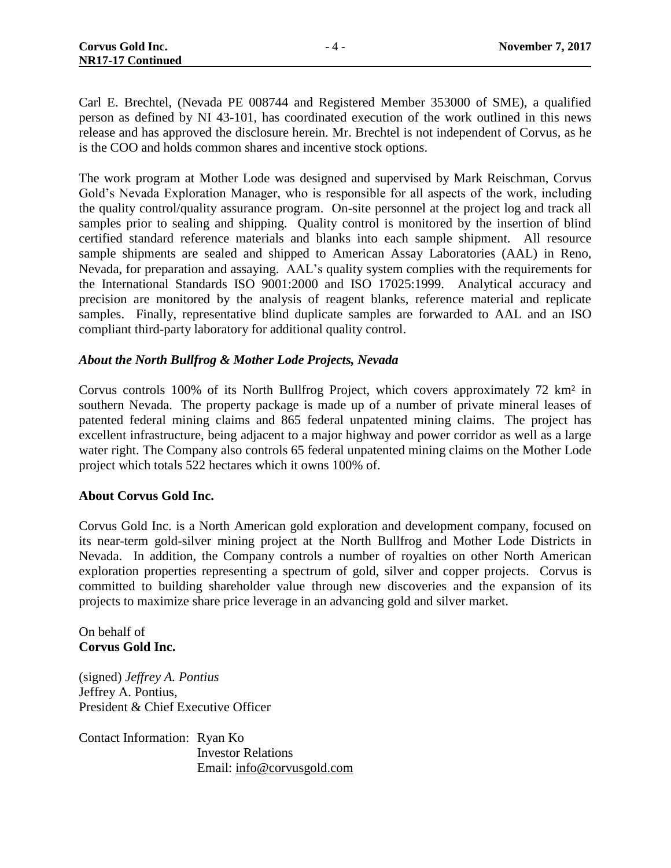Carl E. Brechtel, (Nevada PE 008744 and Registered Member 353000 of SME), a qualified person as defined by NI 43-101, has coordinated execution of the work outlined in this news release and has approved the disclosure herein. Mr. Brechtel is not independent of Corvus, as he is the COO and holds common shares and incentive stock options.

The work program at Mother Lode was designed and supervised by Mark Reischman, Corvus Gold's Nevada Exploration Manager, who is responsible for all aspects of the work, including the quality control/quality assurance program. On-site personnel at the project log and track all samples prior to sealing and shipping. Quality control is monitored by the insertion of blind certified standard reference materials and blanks into each sample shipment. All resource sample shipments are sealed and shipped to American Assay Laboratories (AAL) in Reno, Nevada, for preparation and assaying. AAL's quality system complies with the requirements for the International Standards ISO 9001:2000 and ISO 17025:1999. Analytical accuracy and precision are monitored by the analysis of reagent blanks, reference material and replicate samples. Finally, representative blind duplicate samples are forwarded to AAL and an ISO compliant third-party laboratory for additional quality control.

#### *About the North Bullfrog & Mother Lode Projects, Nevada*

Corvus controls 100% of its North Bullfrog Project, which covers approximately 72 km² in southern Nevada. The property package is made up of a number of private mineral leases of patented federal mining claims and 865 federal unpatented mining claims. The project has excellent infrastructure, being adjacent to a major highway and power corridor as well as a large water right. The Company also controls 65 federal unpatented mining claims on the Mother Lode project which totals 522 hectares which it owns 100% of.

#### **About Corvus Gold Inc.**

Corvus Gold Inc. is a North American gold exploration and development company, focused on its near-term gold-silver mining project at the North Bullfrog and Mother Lode Districts in Nevada. In addition, the Company controls a number of royalties on other North American exploration properties representing a spectrum of gold, silver and copper projects. Corvus is committed to building shareholder value through new discoveries and the expansion of its projects to maximize share price leverage in an advancing gold and silver market.

On behalf of **Corvus Gold Inc.**

(signed) *Jeffrey A. Pontius* Jeffrey A. Pontius, President & Chief Executive Officer

Contact Information: Ryan Ko Investor Relations Email: [info@corvusgold.com](mailto:info@corvusgold.com)